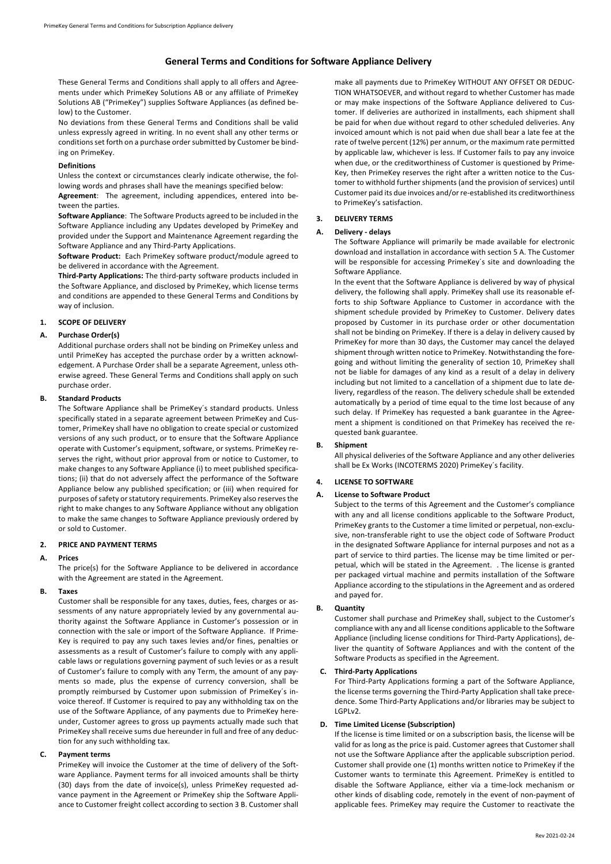# **General Terms and Conditions for Software Appliance Delivery**

These General Terms and Conditions shall apply to all offers and Agreements under which PrimeKey Solutions AB or any affiliate of PrimeKey Solutions AB ("PrimeKey") supplies Software Appliances (as defined below) to the Customer.

No deviations from these General Terms and Conditions shall be valid unless expressly agreed in writing. In no event shall any other terms or conditions set forth on a purchase order submitted by Customer be binding on PrimeKey.

#### **Definitions**

Unless the context or circumstances clearly indicate otherwise, the following words and phrases shall have the meanings specified below:

**Agreement**: The agreement, including appendices, entered into between the parties.

**Software Appliance**: The Software Products agreed to be included in the Software Appliance including any Updates developed by PrimeKey and provided under the Support and Maintenance Agreement regarding the Software Appliance and any Third-Party Applications.

**Software Product:** Each PrimeKey software product/module agreed to be delivered in accordance with the Agreement.

**Third-Party Applications:** The third-party software products included in the Software Appliance, and disclosed by PrimeKey, which license terms and conditions are appended to these General Terms and Conditions by way of inclusion.

#### **1. SCOPE OF DELIVERY**

#### **A. Purchase Order(s)**

Additional purchase orders shall not be binding on PrimeKey unless and until PrimeKey has accepted the purchase order by a written acknowledgement. A Purchase Order shall be a separate Agreement, unless otherwise agreed. These General Terms and Conditions shall apply on such purchase order.

# **B. Standard Products**

The Software Appliance shall be PrimeKey´s standard products. Unless specifically stated in a separate agreement between PrimeKey and Customer, PrimeKey shall have no obligation to create special or customized versions of any such product, or to ensure that the Software Appliance operate with Customer's equipment, software, or systems. PrimeKey reserves the right, without prior approval from or notice to Customer, to make changes to any Software Appliance (i) to meet published specifications; (ii) that do not adversely affect the performance of the Software Appliance below any published specification; or (iii) when required for purposes of safety or statutory requirements. PrimeKey also reserves the right to make changes to any Software Appliance without any obligation to make the same changes to Software Appliance previously ordered by or sold to Customer.

#### **2. PRICE AND PAYMENT TERMS**

### **A. Prices**

The price(s) for the Software Appliance to be delivered in accordance with the Agreement are stated in the Agreement.

#### **B. Taxes**

Customer shall be responsible for any taxes, duties, fees, charges or assessments of any nature appropriately levied by any governmental authority against the Software Appliance in Customer's possession or in connection with the sale or import of the Software Appliance. If Prime-Key is required to pay any such taxes levies and/or fines, penalties or assessments as a result of Customer's failure to comply with any applicable laws or regulations governing payment of such levies or as a result of Customer's failure to comply with any Term, the amount of any payments so made, plus the expense of currency conversion, shall be promptly reimbursed by Customer upon submission of PrimeKey´s invoice thereof. If Customer is required to pay any withholding tax on the use of the Software Appliance, of any payments due to PrimeKey hereunder, Customer agrees to gross up payments actually made such that PrimeKey shall receive sums due hereunder in full and free of any deduction for any such withholding tax.

### **C. Payment terms**

PrimeKey will invoice the Customer at the time of delivery of the Software Appliance. Payment terms for all invoiced amounts shall be thirty (30) days from the date of invoice(s), unless PrimeKey requested advance payment in the Agreement or PrimeKey ship the Software Appliance to Customer freight collect according to section 3 B. Customer shall make all payments due to PrimeKey WITHOUT ANY OFFSET OR DEDUC-TION WHATSOEVER, and without regard to whether Customer has made or may make inspections of the Software Appliance delivered to Customer. If deliveries are authorized in installments, each shipment shall be paid for when due without regard to other scheduled deliveries. Any invoiced amount which is not paid when due shall bear a late fee at the rate of twelve percent (12%) per annum, or the maximum rate permitted by applicable law, whichever is less. If Customer fails to pay any invoice when due, or the creditworthiness of Customer is questioned by Prime-Key, then PrimeKey reserves the right after a written notice to the Customer to withhold further shipments (and the provision of services) until Customer paid its due invoices and/or re-established its creditworthiness to PrimeKey's satisfaction.

# **3. DELIVERY TERMS**

#### **A. Delivery - delays**

The Software Appliance will primarily be made available for electronic download and installation in accordance with section 5 A. The Customer will be responsible for accessing PrimeKey´s site and downloading the Software Appliance.

In the event that the Software Appliance is delivered by way of physical delivery, the following shall apply. PrimeKey shall use its reasonable efforts to ship Software Appliance to Customer in accordance with the shipment schedule provided by PrimeKey to Customer. Delivery dates proposed by Customer in its purchase order or other documentation shall not be binding on PrimeKey. If there is a delay in delivery caused by PrimeKey for more than 30 days, the Customer may cancel the delayed shipment through written notice to PrimeKey. Notwithstanding the foregoing and without limiting the generality of section 10, PrimeKey shall not be liable for damages of any kind as a result of a delay in delivery including but not limited to a cancellation of a shipment due to late delivery, regardless of the reason. The delivery schedule shall be extended automatically by a period of time equal to the time lost because of any such delay. If PrimeKey has requested a bank guarantee in the Agreement a shipment is conditioned on that PrimeKey has received the requested bank guarantee.

#### **B. Shipment**

All physical deliveries of the Software Appliance and any other deliveries shall be Ex Works (INCOTERMS 2020) PrimeKey´s facility.

### **4. LICENSE TO SOFTWARE**

#### **A. License to Software Product**

Subject to the terms of this Agreement and the Customer's compliance with any and all license conditions applicable to the Software Product, PrimeKey grants to the Customer a time limited or perpetual, non-exclusive, non-transferable right to use the object code of Software Product in the designated Software Appliance for internal purposes and not as a part of service to third parties. The license may be time limited or perpetual, which will be stated in the Agreement. . The license is granted per packaged virtual machine and permits installation of the Software Appliance according to the stipulations in the Agreement and as ordered and payed for.

### **B. Quantity**

Customer shall purchase and PrimeKey shall, subject to the Customer's compliance with any and all license conditions applicable to the Software Appliance (including license conditions for Third-Party Applications), deliver the quantity of Software Appliances and with the content of the Software Products as specified in the Agreement.

#### **C. Third-Party Applications**

For Third-Party Applications forming a part of the Software Appliance, the license terms governing the Third-Party Application shall take precedence. Some Third-Party Applications and/or libraries may be subject to LGPLv2.

# **D. Time Limited License (Subscription)**

If the license is time limited or on a subscription basis, the license will be valid for as long as the price is paid. Customer agrees that Customer shall not use the Software Appliance after the applicable subscription period. Customer shall provide one (1) months written notice to PrimeKey if the Customer wants to terminate this Agreement. PrimeKey is entitled to disable the Software Appliance, either via a time-lock mechanism or other kinds of disabling code, remotely in the event of non-payment of applicable fees. PrimeKey may require the Customer to reactivate the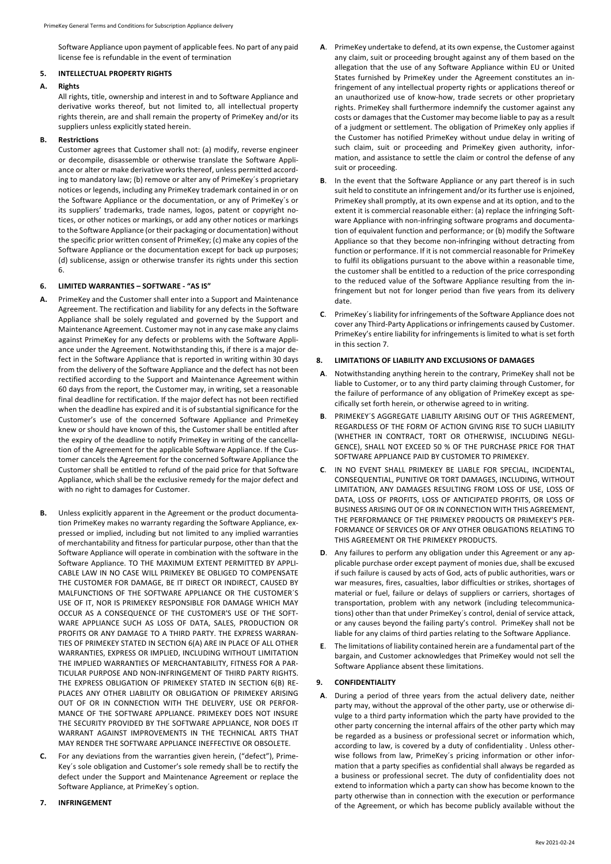Software Appliance upon payment of applicable fees. No part of any paid license fee is refundable in the event of termination

# **5. INTELLECTUAL PROPERTY RIGHTS**

### **A. Rights**

All rights, title, ownership and interest in and to Software Appliance and derivative works thereof, but not limited to, all intellectual property rights therein, are and shall remain the property of PrimeKey and/or its suppliers unless explicitly stated herein.

### **B. Restrictions**

Customer agrees that Customer shall not: (a) modify, reverse engineer or decompile, disassemble or otherwise translate the Software Appliance or alter or make derivative works thereof, unless permitted according to mandatory law; (b) remove or alter any of PrimeKey´s proprietary notices or legends, including any PrimeKey trademark contained in or on the Software Appliance or the documentation, or any of PrimeKey´s or its suppliers' trademarks, trade names, logos, patent or copyright notices, or other notices or markings, or add any other notices or markings to the Software Appliance (or their packaging or documentation) without the specific prior written consent of PrimeKey; (c) make any copies of the Software Appliance or the documentation except for back up purposes; (d) sublicense, assign or otherwise transfer its rights under this section 6.

# **6. LIMITED WARRANTIES – SOFTWARE - "AS IS"**

- **A.** PrimeKey and the Customer shall enter into a Support and Maintenance Agreement. The rectification and liability for any defects in the Software Appliance shall be solely regulated and governed by the Support and Maintenance Agreement. Customer may not in any case make any claims against PrimeKey for any defects or problems with the Software Appliance under the Agreement. Notwithstanding this, if there is a major defect in the Software Appliance that is reported in writing within 30 days from the delivery of the Software Appliance and the defect has not been rectified according to the Support and Maintenance Agreement within 60 days from the report, the Customer may, in writing, set a reasonable final deadline for rectification. If the major defect has not been rectified when the deadline has expired and it is of substantial significance for the Customer's use of the concerned Software Appliance and PrimeKey knew or should have known of this, the Customer shall be entitled after the expiry of the deadline to notify PrimeKey in writing of the cancellation of the Agreement for the applicable Software Appliance. If the Customer cancels the Agreement for the concerned Software Appliance the Customer shall be entitled to refund of the paid price for that Software Appliance, which shall be the exclusive remedy for the major defect and with no right to damages for Customer.
- **B.** Unless explicitly apparent in the Agreement or the product documentation PrimeKey makes no warranty regarding the Software Appliance, expressed or implied, including but not limited to any implied warranties of merchantability and fitness for particular purpose, other than that the Software Appliance will operate in combination with the software in the Software Appliance. TO THE MAXIMUM EXTENT PERMITTED BY APPLI-CABLE LAW IN NO CASE WILL PRIMEKEY BE OBLIGED TO COMPENSATE THE CUSTOMER FOR DAMAGE, BE IT DIRECT OR INDIRECT, CAUSED BY MALFUNCTIONS OF THE SOFTWARE APPLIANCE OR THE CUSTOMER´S USE OF IT, NOR IS PRIMEKEY RESPONSIBLE FOR DAMAGE WHICH MAY OCCUR AS A CONSEQUENCE OF THE CUSTOMER'S USE OF THE SOFT-WARE APPLIANCE SUCH AS LOSS OF DATA, SALES, PRODUCTION OR PROFITS OR ANY DAMAGE TO A THIRD PARTY. THE EXPRESS WARRAN-TIES OF PRIMEKEY STATED IN SECTION 6(A) ARE IN PLACE OF ALL OTHER WARRANTIES, EXPRESS OR IMPLIED, INCLUDING WITHOUT LIMITATION THE IMPLIED WARRANTIES OF MERCHANTABILITY, FITNESS FOR A PAR-TICULAR PURPOSE AND NON-INFRINGEMENT OF THIRD PARTY RIGHTS. THE EXPRESS OBLIGATION OF PRIMEKEY STATED IN SECTION 6(B) RE-PLACES ANY OTHER LIABILITY OR OBLIGATION OF PRIMEKEY ARISING OUT OF OR IN CONNECTION WITH THE DELIVERY, USE OR PERFOR-MANCE OF THE SOFTWARE APPLIANCE. PRIMEKEY DOES NOT INSURE THE SECURITY PROVIDED BY THE SOFTWARE APPLIANCE, NOR DOES IT WARRANT AGAINST IMPROVEMENTS IN THE TECHNICAL ARTS THAT MAY RENDER THE SOFTWARE APPLIANCE INEFFECTIVE OR OBSOLETE.
- For any deviations from the warranties given herein, ("defect"), Prime-Key´s sole obligation and Customer's sole remedy shall be to rectify the defect under the Support and Maintenance Agreement or replace the Software Appliance, at PrimeKey´s option.

### **7. INFRINGEMENT**

- **A**. PrimeKey undertake to defend, at its own expense, the Customer against any claim, suit or proceeding brought against any of them based on the allegation that the use of any Software Appliance within EU or United States furnished by PrimeKey under the Agreement constitutes an infringement of any intellectual property rights or applications thereof or an unauthorized use of know-how, trade secrets or other proprietary rights. PrimeKey shall furthermore indemnify the customer against any costs or damages that the Customer may become liable to pay as a result of a judgment or settlement. The obligation of PrimeKey only applies if the Customer has notified PrimeKey without undue delay in writing of such claim, suit or proceeding and PrimeKey given authority, information, and assistance to settle the claim or control the defense of any suit or proceeding.
- **B**. In the event that the Software Appliance or any part thereof is in such suit held to constitute an infringement and/or its further use is enjoined, PrimeKey shall promptly, at its own expense and at its option, and to the extent it is commercial reasonable either: (a) replace the infringing Software Appliance with non-infringing software programs and documentation of equivalent function and performance; or (b) modify the Software Appliance so that they become non-infringing without detracting from function or performance. If it is not commercial reasonable for PrimeKey to fulfil its obligations pursuant to the above within a reasonable time, the customer shall be entitled to a reduction of the price corresponding to the reduced value of the Software Appliance resulting from the infringement but not for longer period than five years from its delivery date.
- **C**. PrimeKey´s liability for infringements of the Software Appliance does not cover any Third-Party Applications or infringements caused by Customer. PrimeKey's entire liability for infringements is limited to what is set forth in this section 7.

### **8. LIMITATIONS OF LIABILITY AND EXCLUSIONS OF DAMAGES**

- **A**. Notwithstanding anything herein to the contrary, PrimeKey shall not be liable to Customer, or to any third party claiming through Customer, for the failure of performance of any obligation of PrimeKey except as specifically set forth herein, or otherwise agreed to in writing.
- **B**. PRIMEKEY´S AGGREGATE LIABILITY ARISING OUT OF THIS AGREEMENT, REGARDLESS OF THE FORM OF ACTION GIVING RISE TO SUCH LIABILITY (WHETHER IN CONTRACT, TORT OR OTHERWISE, INCLUDING NEGLI-GENCE), SHALL NOT EXCEED 50 % OF THE PURCHASE PRICE FOR THAT SOFTWARE APPLIANCE PAID BY CUSTOMER TO PRIMEKEY.
- **C**. IN NO EVENT SHALL PRIMEKEY BE LIABLE FOR SPECIAL, INCIDENTAL, CONSEQUENTIAL, PUNITIVE OR TORT DAMAGES, INCLUDING, WITHOUT LIMITATION, ANY DAMAGES RESULTING FROM LOSS OF USE, LOSS OF DATA, LOSS OF PROFITS, LOSS OF ANTICIPATED PROFITS, OR LOSS OF BUSINESS ARISING OUT OF OR IN CONNECTION WITH THIS AGREEMENT, THE PERFORMANCE OF THE PRIMEKEY PRODUCTS OR PRIMEKEY'S PER-FORMANCE OF SERVICES OR OF ANY OTHER OBLIGATIONS RELATING TO THIS AGREEMENT OR THE PRIMEKEY PRODUCTS.
- **D**. Any failures to perform any obligation under this Agreement or any applicable purchase order except payment of monies due, shall be excused if such failure is caused by acts of God, acts of public authorities, wars or war measures, fires, casualties, labor difficulties or strikes, shortages of material or fuel, failure or delays of suppliers or carriers, shortages of transportation, problem with any network (including telecommunications) other than that under PrimeKey´s control, denial of service attack, or any causes beyond the failing party's control. PrimeKey shall not be liable for any claims of third parties relating to the Software Appliance.
- **E**. The limitations of liability contained herein are a fundamental part of the bargain, and Customer acknowledges that PrimeKey would not sell the Software Appliance absent these limitations.

### **9. CONFIDENTIALITY**

**A**. During a period of three years from the actual delivery date, neither party may, without the approval of the other party, use or otherwise divulge to a third party information which the party have provided to the other party concerning the internal affairs of the other party which may be regarded as a business or professional secret or information which, according to law, is covered by a duty of confidentiality . Unless otherwise follows from law, PrimeKey´s pricing information or other information that a party specifies as confidential shall always be regarded as a business or professional secret. The duty of confidentiality does not extend to information which a party can show has become known to the party otherwise than in connection with the execution or performance of the Agreement, or which has become publicly available without the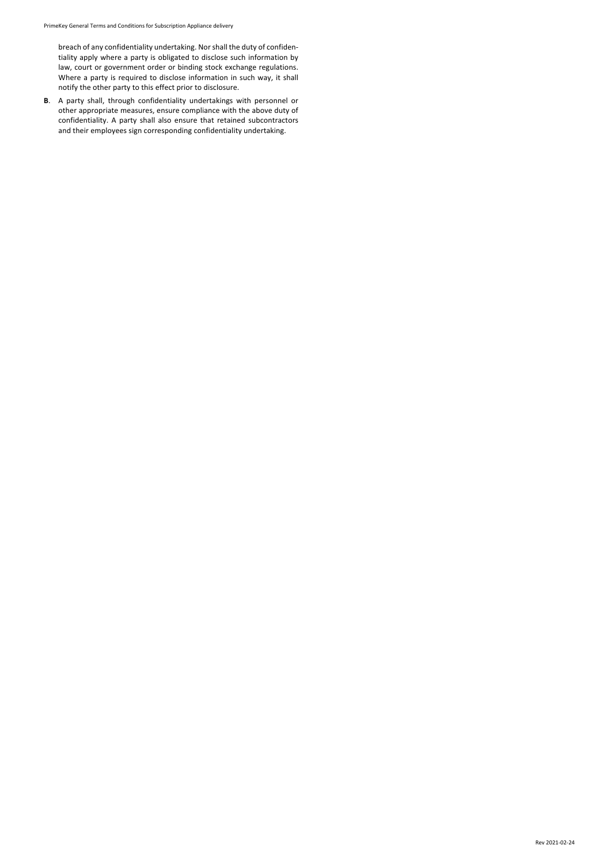breach of any confidentiality undertaking. Nor shall the duty of confidentiality apply where a party is obligated to disclose such information by law, court or government order or binding stock exchange regulations. Where a party is required to disclose information in such way, it shall notify the other party to this effect prior to disclosure.

**B**. A party shall, through confidentiality undertakings with personnel or other appropriate measures, ensure compliance with the above duty of confidentiality. A party shall also ensure that retained subcontractors and their employees sign corresponding confidentiality undertaking.